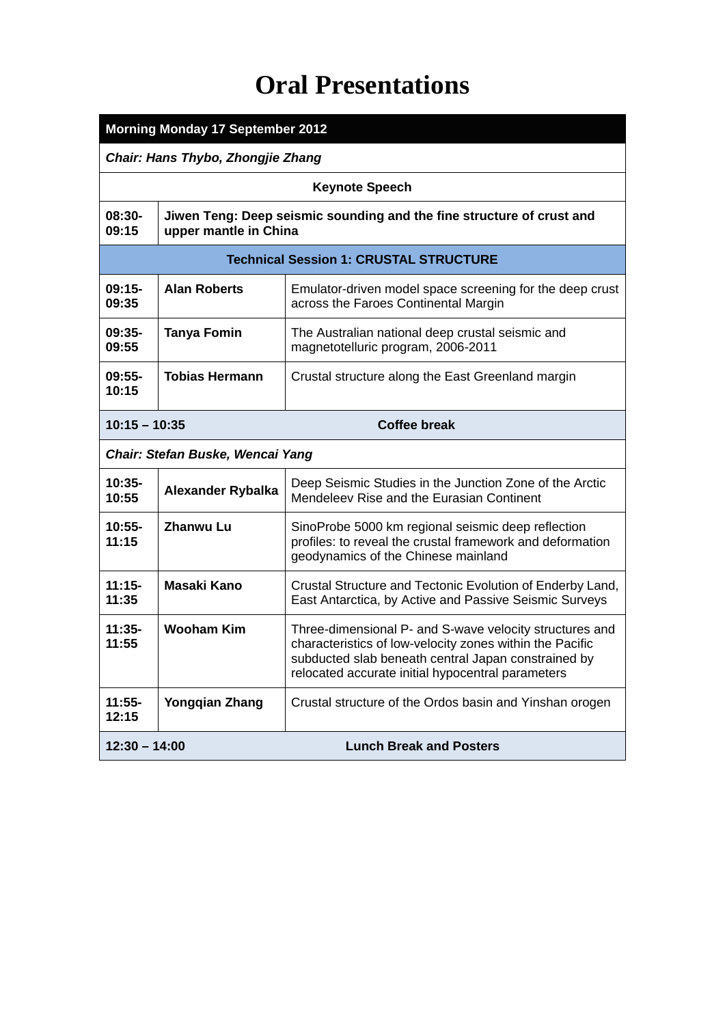# **Oral Presentations**

| <b>Morning Monday 17 September 2012</b>           |                                                                                                |                                                                                                                                                                                                                                 |  |
|---------------------------------------------------|------------------------------------------------------------------------------------------------|---------------------------------------------------------------------------------------------------------------------------------------------------------------------------------------------------------------------------------|--|
| Chair: Hans Thybo, Zhongjie Zhang                 |                                                                                                |                                                                                                                                                                                                                                 |  |
| <b>Keynote Speech</b>                             |                                                                                                |                                                                                                                                                                                                                                 |  |
| 08:30-<br>09:15                                   | Jiwen Teng: Deep seismic sounding and the fine structure of crust and<br>upper mantle in China |                                                                                                                                                                                                                                 |  |
|                                                   | <b>Technical Session 1: CRUSTAL STRUCTURE</b>                                                  |                                                                                                                                                                                                                                 |  |
| $09:15-$<br>09:35                                 | <b>Alan Roberts</b>                                                                            | Emulator-driven model space screening for the deep crust<br>across the Faroes Continental Margin                                                                                                                                |  |
| $09:35-$<br>09:55                                 | <b>Tanya Fomin</b>                                                                             | The Australian national deep crustal seismic and<br>magnetotelluric program, 2006-2011                                                                                                                                          |  |
| $09:55-$<br>10:15                                 | <b>Tobias Hermann</b>                                                                          | Crustal structure along the East Greenland margin                                                                                                                                                                               |  |
|                                                   | <b>Coffee break</b><br>$10:15 - 10:35$                                                         |                                                                                                                                                                                                                                 |  |
| Chair: Stefan Buske, Wencai Yang                  |                                                                                                |                                                                                                                                                                                                                                 |  |
| $10:35 -$<br>10:55                                | <b>Alexander Rybalka</b>                                                                       | Deep Seismic Studies in the Junction Zone of the Arctic<br>Mendeleev Rise and the Eurasian Continent                                                                                                                            |  |
| $10:55-$<br>11:15                                 | <b>Zhanwu Lu</b>                                                                               | SinoProbe 5000 km regional seismic deep reflection<br>profiles: to reveal the crustal framework and deformation<br>geodynamics of the Chinese mainland                                                                          |  |
| $11:15-$<br>11:35                                 | <b>Masaki Kano</b>                                                                             | Crustal Structure and Tectonic Evolution of Enderby Land,<br>East Antarctica, by Active and Passive Seismic Surveys                                                                                                             |  |
| $11:35-$<br>11:55                                 | <b>Wooham Kim</b>                                                                              | Three-dimensional P- and S-wave velocity structures and<br>characteristics of low-velocity zones within the Pacific<br>subducted slab beneath central Japan constrained by<br>relocated accurate initial hypocentral parameters |  |
| $11:55-$<br>12:15                                 | <b>Yongqian Zhang</b>                                                                          | Crustal structure of the Ordos basin and Yinshan orogen                                                                                                                                                                         |  |
| <b>Lunch Break and Posters</b><br>$12:30 - 14:00$ |                                                                                                |                                                                                                                                                                                                                                 |  |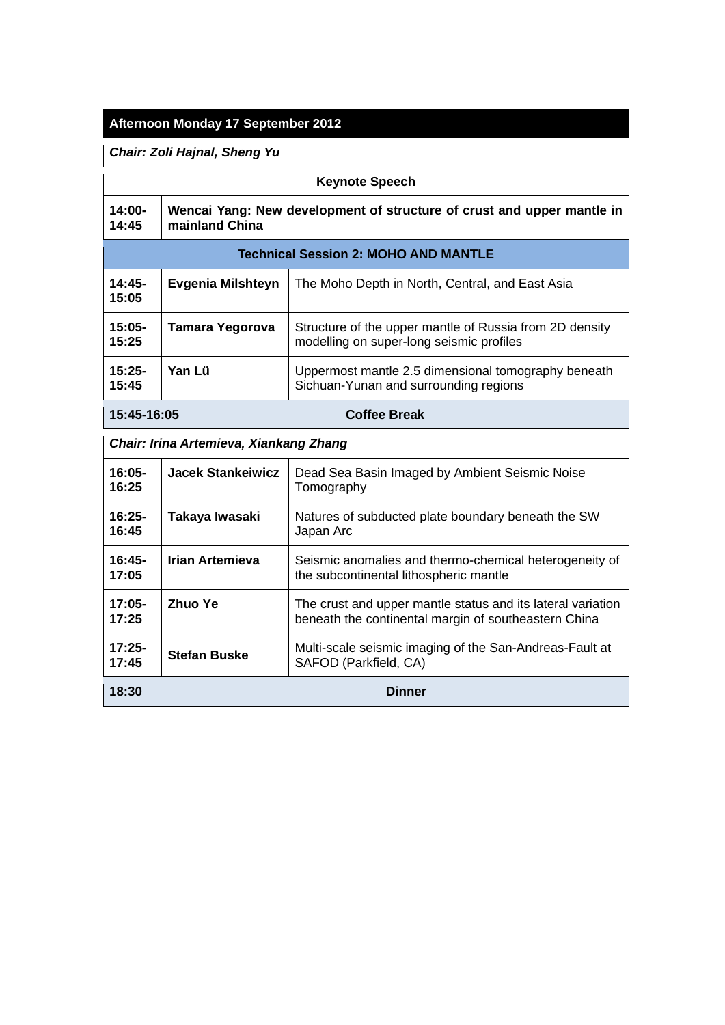# **Afternoon Monday 17 September 2012**

*Chair: Zoli Hajnal, Sheng Yu*

| <b>Keynote Speech</b>                  |                                                                                          |                                                                                                                     |
|----------------------------------------|------------------------------------------------------------------------------------------|---------------------------------------------------------------------------------------------------------------------|
| $14:00 -$<br>14:45                     | Wencai Yang: New development of structure of crust and upper mantle in<br>mainland China |                                                                                                                     |
|                                        |                                                                                          | <b>Technical Session 2: MOHO AND MANTLE</b>                                                                         |
| $14:45-$<br>15:05                      | Evgenia Milshteyn                                                                        | The Moho Depth in North, Central, and East Asia                                                                     |
| $15:05-$<br>15:25                      | <b>Tamara Yegorova</b>                                                                   | Structure of the upper mantle of Russia from 2D density<br>modelling on super-long seismic profiles                 |
| $15:25-$<br>15:45                      | Yan Lü                                                                                   | Uppermost mantle 2.5 dimensional tomography beneath<br>Sichuan-Yunan and surrounding regions                        |
| <b>Coffee Break</b><br>15:45-16:05     |                                                                                          |                                                                                                                     |
| Chair: Irina Artemieva, Xiankang Zhang |                                                                                          |                                                                                                                     |
| $16:05 -$<br>16:25                     | <b>Jacek Stankeiwicz</b>                                                                 | Dead Sea Basin Imaged by Ambient Seismic Noise<br>Tomography                                                        |
| $16:25-$<br>16:45                      | Takaya Iwasaki                                                                           | Natures of subducted plate boundary beneath the SW<br>Japan Arc                                                     |
| $16:45-$<br>17:05                      | <b>Irian Artemieva</b>                                                                   | Seismic anomalies and thermo-chemical heterogeneity of<br>the subcontinental lithospheric mantle                    |
| $17:05-$<br>17:25                      | <b>Zhuo Ye</b>                                                                           | The crust and upper mantle status and its lateral variation<br>beneath the continental margin of southeastern China |
| $17:25-$<br>17:45                      | <b>Stefan Buske</b>                                                                      | Multi-scale seismic imaging of the San-Andreas-Fault at<br>SAFOD (Parkfield, CA)                                    |
| 18:30<br><b>Dinner</b>                 |                                                                                          |                                                                                                                     |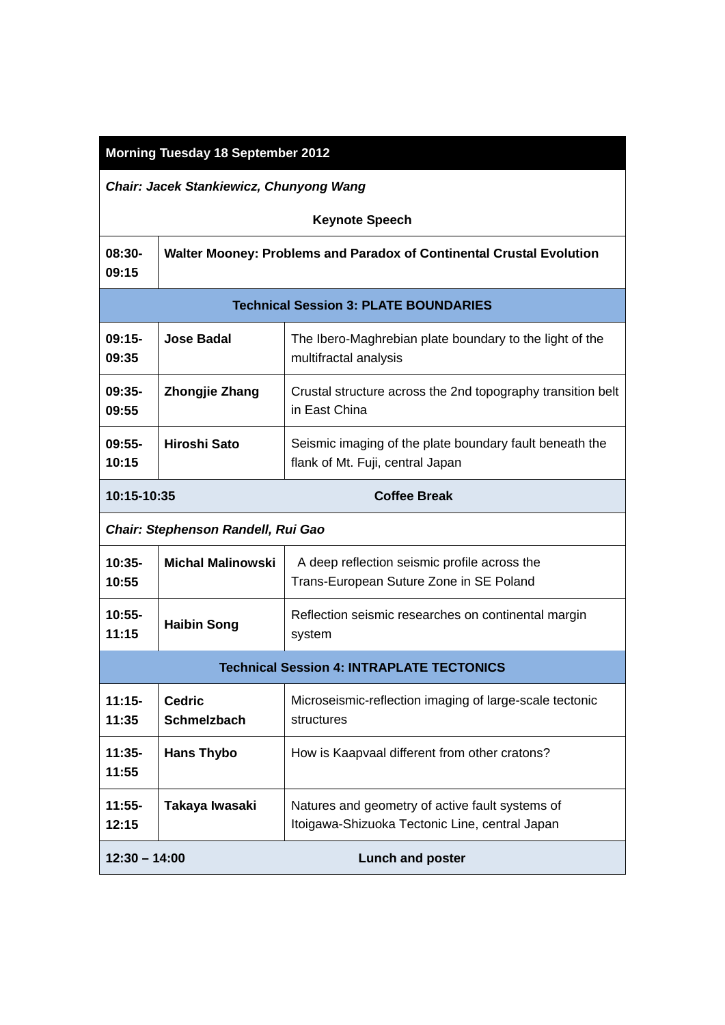## **Morning Tuesday 18 September 2012**

*Chair: Jacek Stankiewicz, Chunyong Wang*

| <b>Keynote Speech</b>                            |                                                                      |                                                                                                   |  |
|--------------------------------------------------|----------------------------------------------------------------------|---------------------------------------------------------------------------------------------------|--|
| 08:30-<br>09:15                                  | Walter Mooney: Problems and Paradox of Continental Crustal Evolution |                                                                                                   |  |
|                                                  | <b>Technical Session 3: PLATE BOUNDARIES</b>                         |                                                                                                   |  |
| $09:15-$<br>09:35                                | <b>Jose Badal</b>                                                    | The Ibero-Maghrebian plate boundary to the light of the<br>multifractal analysis                  |  |
| $09:35-$<br>09:55                                | <b>Zhongjie Zhang</b>                                                | Crustal structure across the 2nd topography transition belt<br>in East China                      |  |
| $09:55-$<br>10:15                                | <b>Hiroshi Sato</b>                                                  | Seismic imaging of the plate boundary fault beneath the<br>flank of Mt. Fuji, central Japan       |  |
| 10:15-10:35<br><b>Coffee Break</b>               |                                                                      |                                                                                                   |  |
|                                                  | Chair: Stephenson Randell, Rui Gao                                   |                                                                                                   |  |
| $10:35 -$<br>10:55                               | <b>Michal Malinowski</b>                                             | A deep reflection seismic profile across the<br>Trans-European Suture Zone in SE Poland           |  |
| $10:55-$<br>11:15                                | <b>Haibin Song</b>                                                   | Reflection seismic researches on continental margin<br>system                                     |  |
| <b>Technical Session 4: INTRAPLATE TECTONICS</b> |                                                                      |                                                                                                   |  |
| $11:15-$<br>11:35                                | <b>Cedric</b><br><b>Schmelzbach</b>                                  | Microseismic-reflection imaging of large-scale tectonic<br>structures                             |  |
| $11:35-$<br>11:55                                | <b>Hans Thybo</b>                                                    | How is Kaapvaal different from other cratons?                                                     |  |
| $11:55-$<br>12:15                                | Takaya Iwasaki                                                       | Natures and geometry of active fault systems of<br>Itoigawa-Shizuoka Tectonic Line, central Japan |  |
| $12:30 - 14:00$                                  |                                                                      | <b>Lunch and poster</b>                                                                           |  |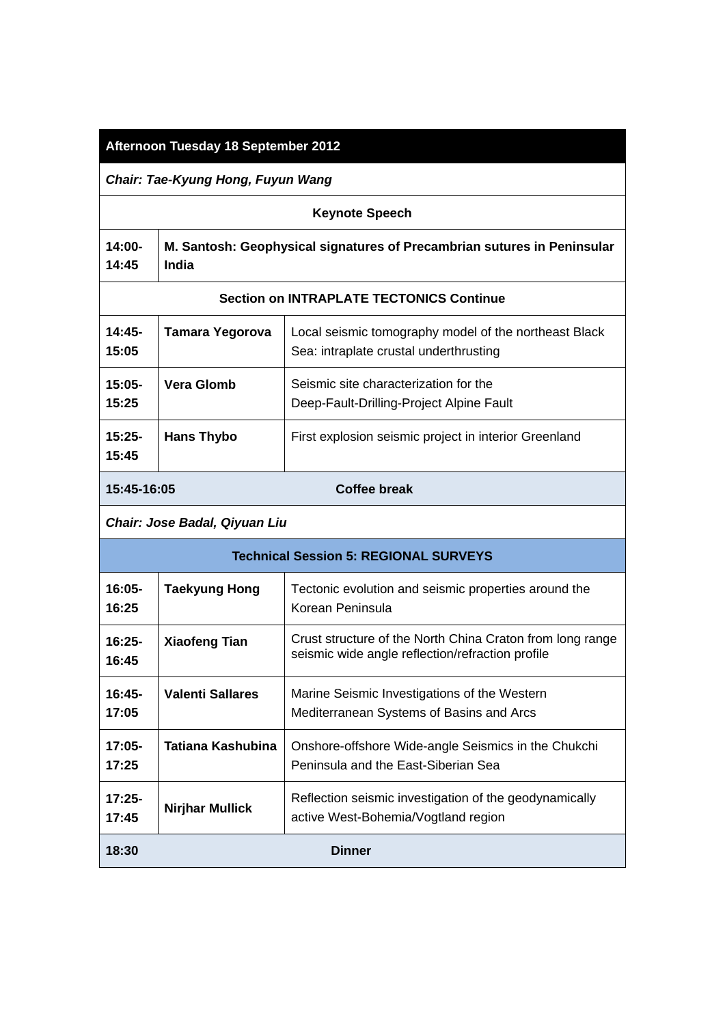## **Afternoon Tuesday 18 September 2012**

*Chair: Tae-Kyung Hong, Fuyun Wang*

| <b>Keynote Speech</b> |                                                                                           |  |
|-----------------------|-------------------------------------------------------------------------------------------|--|
| 14:45                 | 14:00-   M. Santosh: Geophysical signatures of Precambrian sutures in Peninsular<br>India |  |

#### **Section on INTRAPLATE TECTONICS Continue**

| 15:45-16:05       |                   | Coffee break                                                                                    |
|-------------------|-------------------|-------------------------------------------------------------------------------------------------|
| $15:25-$<br>15:45 | <b>Hans Thybo</b> | First explosion seismic project in interior Greenland                                           |
| $15:05-$<br>15:25 | Vera Glomb        | Seismic site characterization for the<br>Deep-Fault-Drilling-Project Alpine Fault               |
| $14:45-$<br>15:05 | Tamara Yegorova   | Local seismic tomography model of the northeast Black<br>Sea: intraplate crustal underthrusting |
|                   |                   |                                                                                                 |

#### *Chair: Jose Badal, Qiyuan Liu*

| <b>Technical Session 5: REGIONAL SURVEYS</b> |                        |                                                                                                               |
|----------------------------------------------|------------------------|---------------------------------------------------------------------------------------------------------------|
| 16:05-<br>16:25                              | <b>Taekyung Hong</b>   | Tectonic evolution and seismic properties around the<br>Korean Peninsula                                      |
| $16:25-$<br>16:45                            | <b>Xiaofeng Tian</b>   | Crust structure of the North China Craton from long range<br>seismic wide angle reflection/refraction profile |
| $16:45-$<br>17:05                            | Valenti Sallares       | Marine Seismic Investigations of the Western<br>Mediterranean Systems of Basins and Arcs                      |
| 17:05-<br>17:25                              | Tatiana Kashubina      | Onshore-offshore Wide-angle Seismics in the Chukchi<br>Peninsula and the East-Siberian Sea                    |
| $17:25-$<br>17:45                            | <b>Nirjhar Mullick</b> | Reflection seismic investigation of the geodynamically<br>active West-Bohemia/Vogtland region                 |
| 18:30<br>Dinner                              |                        |                                                                                                               |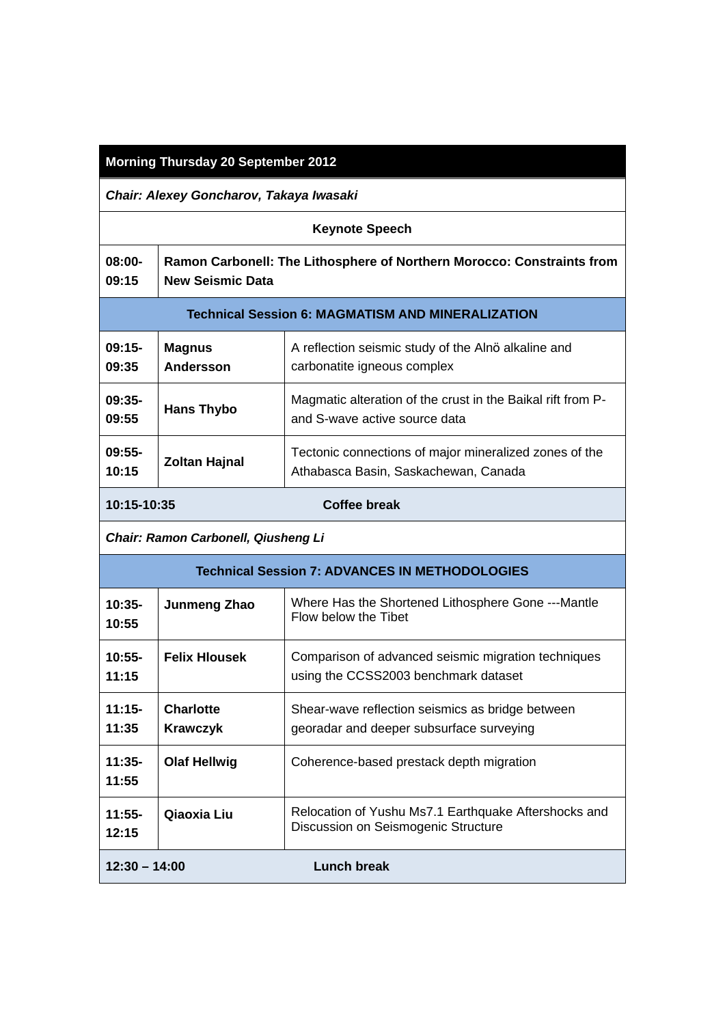## **Morning Thursday 20 September 2012**

*Chair: Alexey Goncharov, Takaya Iwasaki*

| <b>Keynote Speech</b>                                    |                                                                                                   |                                                                                                |
|----------------------------------------------------------|---------------------------------------------------------------------------------------------------|------------------------------------------------------------------------------------------------|
| $08:00 -$<br>09:15                                       | Ramon Carbonell: The Lithosphere of Northern Morocco: Constraints from<br><b>New Seismic Data</b> |                                                                                                |
| <b>Technical Session 6: MAGMATISM AND MINERALIZATION</b> |                                                                                                   |                                                                                                |
| $09:15-$<br>09:35                                        | <b>Magnus</b><br><b>Andersson</b>                                                                 | A reflection seismic study of the Alnö alkaline and<br>carbonatite igneous complex             |
| $09:35-$<br>09:55                                        | Hans Thybo                                                                                        | Magmatic alteration of the crust in the Baikal rift from P-<br>and S-wave active source data   |
| $09:55-$<br>10:15                                        | <b>Zoltan Hajnal</b>                                                                              | Tectonic connections of major mineralized zones of the<br>Athabasca Basin, Saskachewan, Canada |
| Coffee break<br>10:15-10:35                              |                                                                                                   |                                                                                                |

*Chair: Ramon Carbonell, Qiusheng Li*

| Technical Session 7: ADVANCES IN METHODOLOGIES |                                     |                                                                                              |
|------------------------------------------------|-------------------------------------|----------------------------------------------------------------------------------------------|
| $10:35-$<br>10:55                              | Junmeng Zhao                        | Where Has the Shortened Lithosphere Gone ---Mantle<br>Flow below the Tibet                   |
| $10:55-$<br>11:15                              | <b>Felix Hlousek</b>                | Comparison of advanced seismic migration techniques<br>using the CCSS2003 benchmark dataset  |
| $11:15-$<br>11:35                              | <b>Charlotte</b><br><b>Krawczyk</b> | Shear-wave reflection seismics as bridge between<br>georadar and deeper subsurface surveying |
| 11:35-<br>11:55                                | <b>Olaf Hellwig</b>                 | Coherence-based prestack depth migration                                                     |
| $11:55-$<br>12:15                              | Qiaoxia Liu                         | Relocation of Yushu Ms7.1 Earthquake Aftershocks and<br>Discussion on Seismogenic Structure  |
| $12:30 - 14:00$                                |                                     | Lunch break                                                                                  |